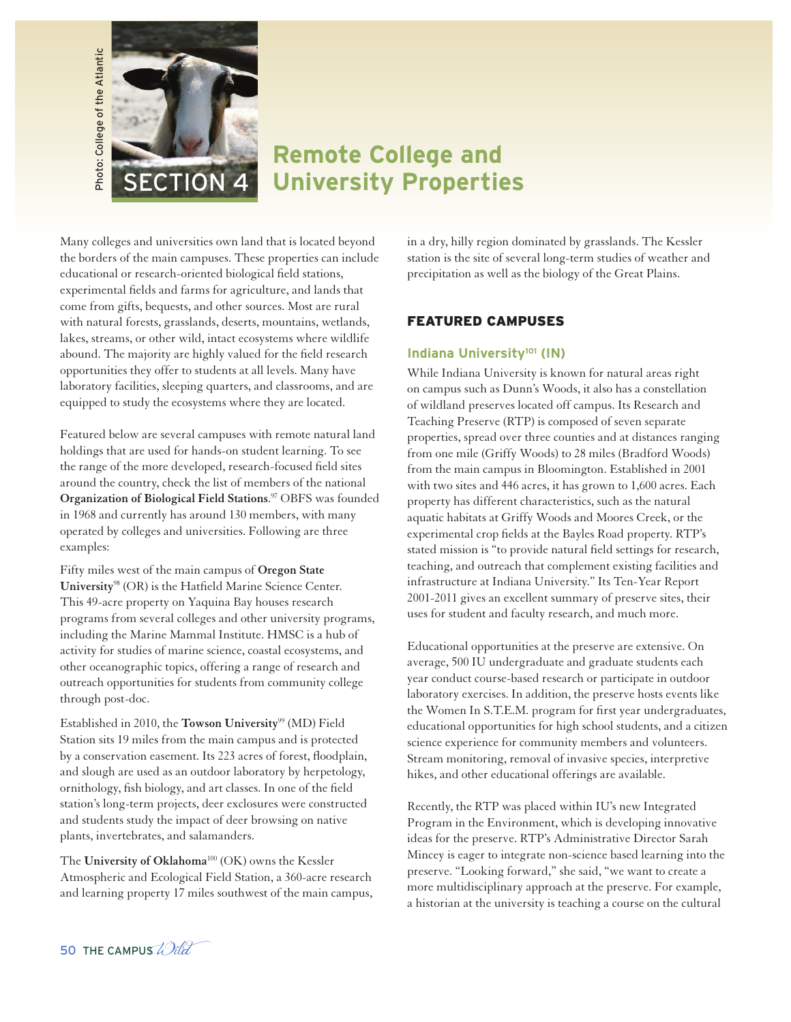

# **Remote College and University Properties**

Many colleges and universities own land that is located beyond the borders of the main campuses. These properties can include educational or research-oriented biological field stations, experimental fields and farms for agriculture, and lands that come from gifts, bequests, and other sources. Most are rural with natural forests, grasslands, deserts, mountains, wetlands, lakes, streams, or other wild, intact ecosystems where wildlife abound. The majority are highly valued for the field research opportunities they offer to students at all levels. Many have laboratory facilities, sleeping quarters, and classrooms, and are equipped to study the ecosystems where they are located.

Featured below are several campuses with remote natural land holdings that are used for hands-on student learning. To see the range of the more developed, research-focused field sites around the country, check the list of members of the national **Organization of Biological Field Stations**. <sup>97</sup> OBFS was founded in 1968 and currently has around 130 members, with many operated by colleges and universities. Following are three examples:

Fifty miles west of the main campus of **Oregon State University**<sup>98</sup> (OR) is the Hatfield Marine Science Center. This 49-acre property on Yaquina Bay houses research programs from several colleges and other university programs, including the Marine Mammal Institute. HMSC is a hub of activity for studies of marine science, coastal ecosystems, and other oceanographic topics, offering a range of research and outreach opportunities for students from community college through post-doc.

Established in 2010, the **Towson University**<sup>99</sup> (MD) Field Station sits 19 miles from the main campus and is protected by a conservation easement. Its 223 acres of forest, floodplain, and slough are used as an outdoor laboratory by herpetology, ornithology, fish biology, and art classes. In one of the field station's long-term projects, deer exclosures were constructed and students study the impact of deer browsing on native plants, invertebrates, and salamanders.

The **University of Oklahoma**<sup>100</sup> (OK) owns the Kessler Atmospheric and Ecological Field Station, a 360-acre research and learning property 17 miles southwest of the main campus, in a dry, hilly region dominated by grasslands. The Kessler station is the site of several long-term studies of weather and precipitation as well as the biology of the Great Plains.

### FEATURED CAMPUSES

#### **Indiana University<sup>101</sup> (IN)**

While Indiana University is known for natural areas right on campus such as Dunn's Woods, it also has a constellation of wildland preserves located off campus. Its Research and Teaching Preserve (RTP) is composed of seven separate properties, spread over three counties and at distances ranging from one mile (Griffy Woods) to 28 miles (Bradford Woods) from the main campus in Bloomington. Established in 2001 with two sites and 446 acres, it has grown to 1,600 acres. Each property has different characteristics, such as the natural aquatic habitats at Griffy Woods and Moores Creek, or the experimental crop fields at the Bayles Road property. RTP's stated mission is "to provide natural field settings for research, teaching, and outreach that complement existing facilities and infrastructure at Indiana University." Its Ten-Year Report 2001-2011 gives an excellent summary of preserve sites, their uses for student and faculty research, and much more.

Educational opportunities at the preserve are extensive. On average, 500 IU undergraduate and graduate students each year conduct course-based research or participate in outdoor laboratory exercises. In addition, the preserve hosts events like the Women In S.T.E.M. program for first year undergraduates, educational opportunities for high school students, and a citizen science experience for community members and volunteers. Stream monitoring, removal of invasive species, interpretive hikes, and other educational offerings are available.

Recently, the RTP was placed within IU's new Integrated Program in the Environment, which is developing innovative ideas for the preserve. RTP's Administrative Director Sarah Mincey is eager to integrate non-science based learning into the preserve. "Looking forward," she said, "we want to create a more multidisciplinary approach at the preserve. For example, a historian at the university is teaching a course on the cultural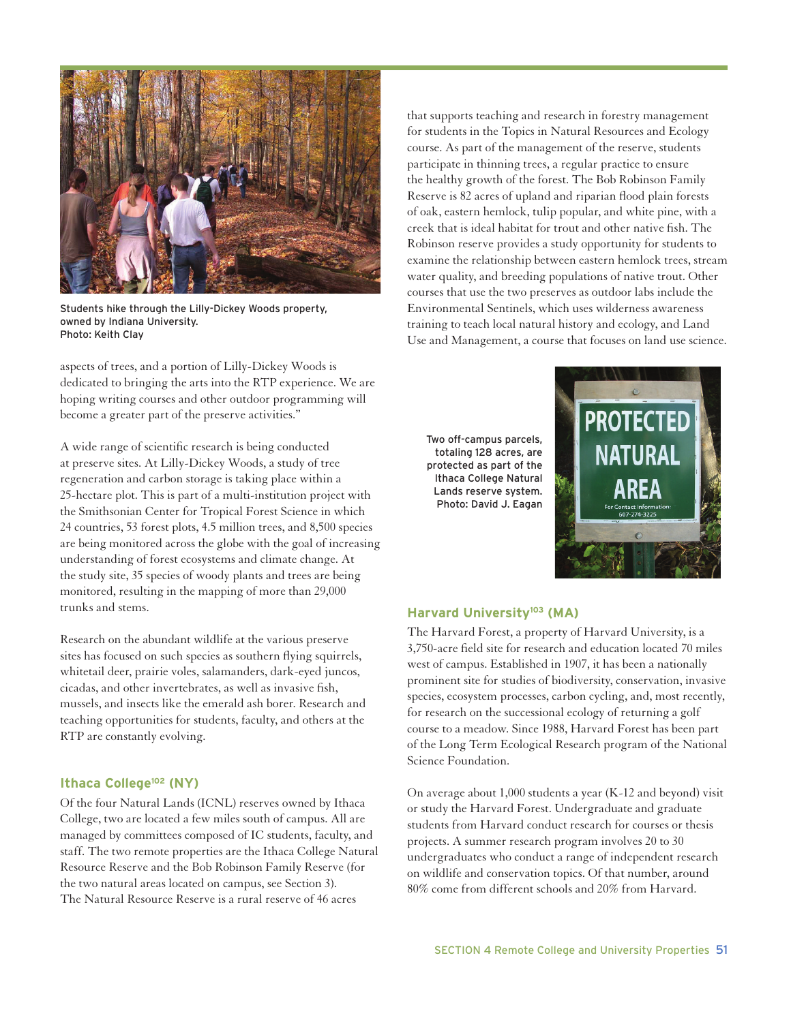

Students hike through the Lilly-Dickey Woods property, owned by Indiana University. Photo: Keith Clay

aspects of trees, and a portion of Lilly-Dickey Woods is dedicated to bringing the arts into the RTP experience. We are hoping writing courses and other outdoor programming will become a greater part of the preserve activities."

A wide range of scientific research is being conducted at preserve sites. At Lilly-Dickey Woods, a study of tree regeneration and carbon storage is taking place within a 25-hectare plot. This is part of a multi-institution project with the Smithsonian Center for Tropical Forest Science in which 24 countries, 53 forest plots, 4.5 million trees, and 8,500 species are being monitored across the globe with the goal of increasing understanding of forest ecosystems and climate change. At the study site, 35 species of woody plants and trees are being monitored, resulting in the mapping of more than 29,000 trunks and stems.

Research on the abundant wildlife at the various preserve sites has focused on such species as southern flying squirrels, whitetail deer, prairie voles, salamanders, dark-eyed juncos, cicadas, and other invertebrates, as well as invasive fish, mussels, and insects like the emerald ash borer. Research and teaching opportunities for students, faculty, and others at the RTP are constantly evolving.

### **Ithaca College<sup>102</sup> (NY)**

Of the four Natural Lands (ICNL) reserves owned by Ithaca College, two are located a few miles south of campus. All are managed by committees composed of IC students, faculty, and staff. The two remote properties are the Ithaca College Natural Resource Reserve and the Bob Robinson Family Reserve (for the two natural areas located on campus, see Section 3). The Natural Resource Reserve is a rural reserve of 46 acres

that supports teaching and research in forestry management for students in the Topics in Natural Resources and Ecology course. As part of the management of the reserve, students participate in thinning trees, a regular practice to ensure the healthy growth of the forest. The Bob Robinson Family Reserve is 82 acres of upland and riparian flood plain forests of oak, eastern hemlock, tulip popular, and white pine, with a creek that is ideal habitat for trout and other native fish. The Robinson reserve provides a study opportunity for students to examine the relationship between eastern hemlock trees, stream water quality, and breeding populations of native trout. Other courses that use the two preserves as outdoor labs include the Environmental Sentinels, which uses wilderness awareness training to teach local natural history and ecology, and Land Use and Management, a course that focuses on land use science.

Two off-campus parcels, totaling 128 acres, are protected as part of the Ithaca College Natural Lands reserve system. Photo: David J. Eagan



## **Harvard University<sup>103</sup> (MA)**

The Harvard Forest, a property of Harvard University, is a 3,750-acre field site for research and education located 70 miles west of campus. Established in 1907, it has been a nationally prominent site for studies of biodiversity, conservation, invasive species, ecosystem processes, carbon cycling, and, most recently, for research on the successional ecology of returning a golf course to a meadow. Since 1988, Harvard Forest has been part of the Long Term Ecological Research program of the National Science Foundation.

On average about 1,000 students a year (K-12 and beyond) visit or study the Harvard Forest. Undergraduate and graduate students from Harvard conduct research for courses or thesis projects. A summer research program involves 20 to 30 undergraduates who conduct a range of independent research on wildlife and conservation topics. Of that number, around 80% come from different schools and 20% from Harvard.